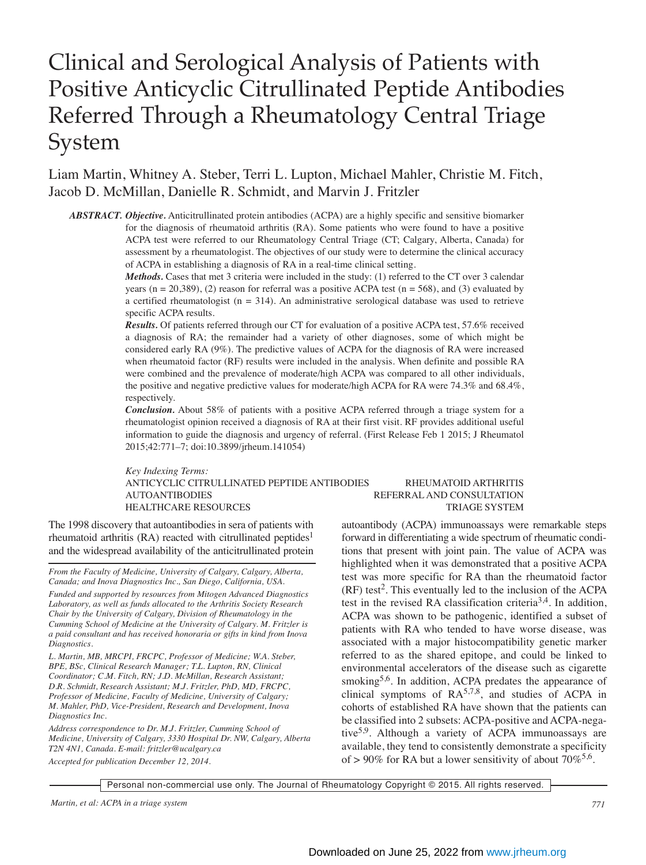# Clinical and Serological Analysis of Patients with Positive Anticyclic Citrullinated Peptide Antibodies Referred Through a Rheumatology Central Triage System

Liam Martin, Whitney A. Steber, Terri L. Lupton, Michael Mahler, Christie M. Fitch, Jacob D. McMillan, Danielle R. Schmidt, and Marvin J. Fritzler

*ABSTRACT. Objective.* Anticitrullinated protein antibodies (ACPA) are a highly specific and sensitive biomarker for the diagnosis of rheumatoid arthritis (RA). Some patients who were found to have a positive ACPA test were referred to our Rheumatology Central Triage (CT; Calgary, Alberta, Canada) for assessment by a rheumatologist. The objectives of our study were to determine the clinical accuracy of ACPA in establishing a diagnosis of RA in a real-time clinical setting.

> *Methods.* Cases that met 3 criteria were included in the study: (1) referred to the CT over 3 calendar years  $(n = 20,389)$ , (2) reason for referral was a positive ACPA test  $(n = 568)$ , and (3) evaluated by a certified rheumatologist ( $n = 314$ ). An administrative serological database was used to retrieve specific ACPA results.

> *Results.* Of patients referred through our CT for evaluation of a positive ACPA test, 57.6% received a diagnosis of RA; the remainder had a variety of other diagnoses, some of which might be considered early RA (9%). The predictive values of ACPA for the diagnosis of RA were increased when rheumatoid factor (RF) results were included in the analysis. When definite and possible RA were combined and the prevalence of moderate/high ACPA was compared to all other individuals, the positive and negative predictive values for moderate/high ACPA for RA were 74.3% and 68.4%, respectively.

> *Conclusion.* About 58% of patients with a positive ACPA referred through a triage system for a rheumatologist opinion received a diagnosis of RA at their first visit. RF provides additional useful information to guide the diagnosis and urgency of referral. (First Release Feb 1 2015; J Rheumatol 2015;42:771–7; doi:10.3899/jrheum.141054)

> *Key Indexing Terms:* ANTICYCLIC CITRULLINATED PEPTIDE ANTIBODIES RHEUMATOID ARTHRITIS AUTOANTIBODIES REFERRAL AND CONSULTATION **HEALTHCARE RESOURCES** TRIAGE SYSTEM

The 1998 discovery that autoantibodies in sera of patients with rheumatoid arthritis (RA) reacted with citrullinated peptides<sup>1</sup> and the widespread availability of the anticitrullinated protein

*From the Faculty of Medicine, University of Calgary, Calgary, Alberta, Canada; and Inova Diagnostics Inc., San Diego, California, USA.*

*Funded and supported by resources from Mitogen Advanced Diagnostics Laboratory, as well as funds allocated to the Arthritis Society Research Chair by the University of Calgary, Division of Rheumatology in the Cumming School of Medicine at the University of Calgary. M. Fritzler is a paid consultant and has received honoraria or gifts in kind from Inova Diagnostics.* 

*L. Martin, MB, MRCPI, FRCPC, Professor of Medicine; W.A. Steber, BPE, BSc, Clinical Research Manager; T.L. Lupton, RN, Clinical Coordinator; C.M. Fitch, RN; J.D. McMillan, Research Assistant; D.R. Schmidt, Research Assistant; M.J. Fritzler, PhD, MD, FRCPC, Professor of Medicine, Faculty of Medicine, University of Calgary; M. Mahler, PhD, Vice-President, Research and Development, Inova Diagnostics Inc.*

*Address correspondence to Dr. M.J. Fritzler, Cumming School of Medicine, University of Calgary, 3330 Hospital Dr. NW, Calgary, Alberta T2N 4N1, Canada. E-mail: fritzler@ucalgary.ca Accepted for publication December 12, 2014.*

autoantibody (ACPA) immunoassays were remarkable steps forward in differentiating a wide spectrum of rheumatic conditions that present with joint pain. The value of ACPA was highlighted when it was demonstrated that a positive ACPA test was more specific for RA than the rheumatoid factor  $(RF)$  test<sup>2</sup>. This eventually led to the inclusion of the ACPA test in the revised RA classification criteria<sup>3,4</sup>. In addition, ACPA was shown to be pathogenic, identified a subset of patients with RA who tended to have worse disease, was associated with a major histocompatibility genetic marker referred to as the shared epitope, and could be linked to environmental accelerators of the disease such as cigarette smoking<sup>5,6</sup>. In addition, ACPA predates the appearance of clinical symptoms of  $RA^{5,7,8}$ , and studies of ACPA in cohorts of established RA have shown that the patients can be classified into 2 subsets: ACPA-positive and ACPA-negative<sup>5,9</sup>. Although a variety of ACPA immunoassays are available, they tend to consistently demonstrate a specificity of  $> 90\%$  for RA but a lower sensitivity of about 70%<sup>5,6</sup>.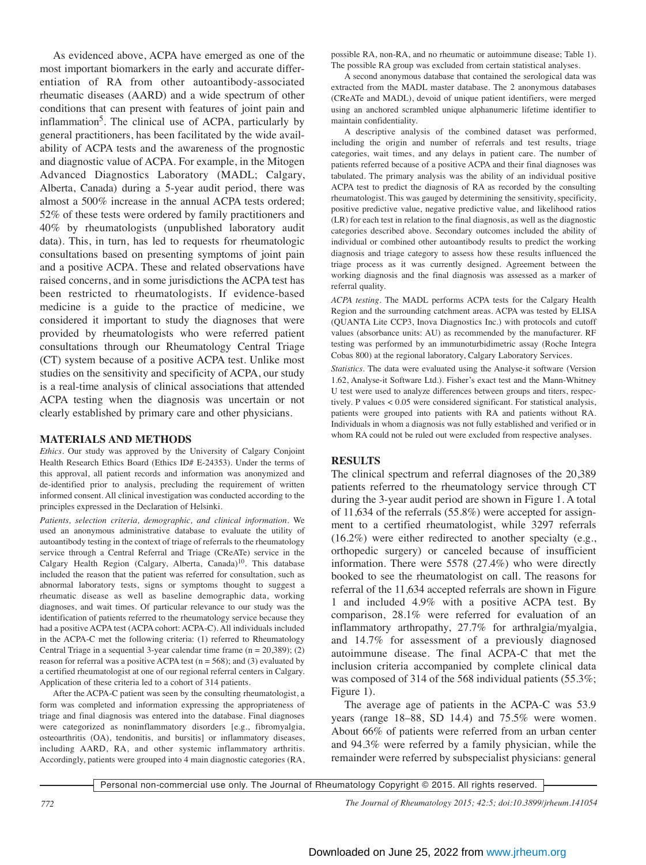As evidenced above, ACPA have emerged as one of the most important biomarkers in the early and accurate differentiation of RA from other autoantibody-associated rheumatic diseases (AARD) and a wide spectrum of other conditions that can present with features of joint pain and inflammation<sup>5</sup>. The clinical use of ACPA, particularly by general practitioners, has been facilitated by the wide availability of ACPA tests and the awareness of the prognostic and diagnostic value of ACPA. For example, in the Mitogen Advanced Diagnostics Laboratory (MADL; Calgary, Alberta, Canada) during a 5-year audit period, there was almost a 500% increase in the annual ACPA tests ordered; 52% of these tests were ordered by family practitioners and 40% by rheumatologists (unpublished laboratory audit data). This, in turn, has led to requests for rheumatologic consultations based on presenting symptoms of joint pain and a positive ACPA. These and related observations have raised concerns, and in some jurisdictions the ACPA test has been restricted to rheumatologists. If evidence-based medicine is a guide to the practice of medicine, we considered it important to study the diagnoses that were provided by rheumatologists who were referred patient consultations through our Rheumatology Central Triage (CT) system because of a positive ACPA test. Unlike most studies on the sensitivity and specificity of ACPA, our study is a real-time analysis of clinical associations that attended ACPA testing when the diagnosis was uncertain or not clearly established by primary care and other physicians.

#### **MATERIALS AND METHODS**

*Ethics.* Our study was approved by the University of Calgary Conjoint Health Research Ethics Board (Ethics ID# E-24353). Under the terms of this approval, all patient records and information was anonymized and de-identified prior to analysis, precluding the requirement of written informed consent. All clinical investigation was conducted according to the principles expressed in the Declaration of Helsinki.

*Patients, selection criteria, demographic, and clinical information.* We used an anonymous administrative database to evaluate the utility of autoantibody testing in the context of triage of referrals to the rheumatology service through a Central Referral and Triage (CReATe) service in the Calgary Health Region (Calgary, Alberta, Canada)10. This database included the reason that the patient was referred for consultation, such as abnormal laboratory tests, signs or symptoms thought to suggest a rheumatic disease as well as baseline demographic data, working diagnoses, and wait times. Of particular relevance to our study was the identification of patients referred to the rheumatology service because they had a positive ACPA test (ACPA cohort: ACPA-C). All individuals included in the ACPA-C met the following criteria: (1) referred to Rheumatology Central Triage in a sequential 3-year calendar time frame  $(n = 20,389)$ ; (2) reason for referral was a positive ACPA test ( $n = 568$ ); and (3) evaluated by a certified rheumatologist at one of our regional referral centers in Calgary. Application of these criteria led to a cohort of 314 patients.

After the ACPA-C patient was seen by the consulting rheumatologist, a form was completed and information expressing the appropriateness of triage and final diagnosis was entered into the database. Final diagnoses were categorized as noninflammatory disorders [e.g., fibromyalgia, osteoarthritis (OA), tendonitis, and bursitis] or inflammatory diseases, including AARD, RA, and other systemic inflammatory arthritis. Accordingly, patients were grouped into 4 main diagnostic categories (RA, possible RA, non-RA, and no rheumatic or autoimmune disease; Table 1). The possible RA group was excluded from certain statistical analyses.

A second anonymous database that contained the serological data was extracted from the MADL master database. The 2 anonymous databases (CReATe and MADL), devoid of unique patient identifiers, were merged using an anchored scrambled unique alphanumeric lifetime identifier to maintain confidentiality.

A descriptive analysis of the combined dataset was performed, including the origin and number of referrals and test results, triage categories, wait times, and any delays in patient care. The number of patients referred because of a positive ACPA and their final diagnoses was tabulated. The primary analysis was the ability of an individual positive ACPA test to predict the diagnosis of RA as recorded by the consulting rheumatologist. This was gauged by determining the sensitivity, specificity, positive predictive value, negative predictive value, and likelihood ratios (LR) for each test in relation to the final diagnosis, as well as the diagnostic categories described above. Secondary outcomes included the ability of individual or combined other autoantibody results to predict the working diagnosis and triage category to assess how these results influenced the triage process as it was currently designed. Agreement between the working diagnosis and the final diagnosis was assessed as a marker of referral quality.

*ACPA testing.* The MADL performs ACPA tests for the Calgary Health Region and the surrounding catchment areas. ACPA was tested by ELISA (QUANTA Lite CCP3, Inova Diagnostics Inc.) with protocols and cutoff values (absorbance units: AU) as recommended by the manufacturer. RF testing was performed by an immunoturbidimetric assay (Roche Integra Cobas 800) at the regional laboratory, Calgary Laboratory Services.

*Statistics.* The data were evaluated using the Analyse-it software (Version 1.62, Analyse-it Software Ltd.). Fisher's exact test and the Mann-Whitney U test were used to analyze differences between groups and titers, respectively. P values < 0.05 were considered significant. For statistical analysis, patients were grouped into patients with RA and patients without RA. Individuals in whom a diagnosis was not fully established and verified or in whom RA could not be ruled out were excluded from respective analyses.

# **RESULTS**

The clinical spectrum and referral diagnoses of the 20,389 patients referred to the rheumatology service through CT during the 3-year audit period are shown in Figure 1. A total of 11,634 of the referrals (55.8%) were accepted for assignment to a certified rheumatologist, while 3297 referrals (16.2%) were either redirected to another specialty (e.g., orthopedic surgery) or canceled because of insufficient information. There were 5578 (27.4%) who were directly booked to see the rheumatologist on call. The reasons for referral of the 11,634 accepted referrals are shown in Figure 1 and included 4.9% with a positive ACPA test. By comparison, 28.1% were referred for evaluation of an inflammatory arthropathy, 27.7% for arthralgia/myalgia, and 14.7% for assessment of a previously diagnosed autoimmune disease. The final ACPA-C that met the inclusion criteria accompanied by complete clinical data was composed of 314 of the 568 individual patients (55.3%; Figure 1).

The average age of patients in the ACPA-C was 53.9 years (range 18–88, SD 14.4) and 75.5% were women. About 66% of patients were referred from an urban center and 94.3% were referred by a family physician, while the remainder were referred by subspecialist physicians: general

Personal non-commercial use only. The Journal of Rheumatology Copyright © 2015. All rights reserved.

*772 The Journal of Rheumatology 2015; 42:5; doi:10.3899/jrheum.141054*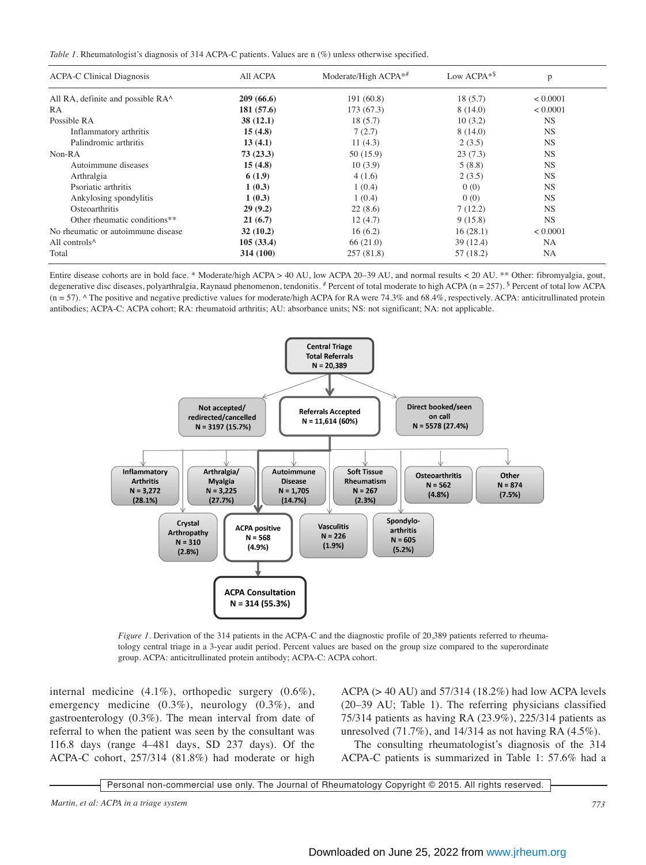*Table 1.* Rheumatologist's diagnosis of 314 ACPA-C patients. Values are n (%) unless otherwise specified.

| <b>ACPA-C Clinical Diagnosis</b>                               | All ACPA  | Moderate/High $ACPA**$ | Low ACPA $*$ <sup>§</sup> | p         |
|----------------------------------------------------------------|-----------|------------------------|---------------------------|-----------|
| All RA, definite and possible RA <sup><math>\land</math></sup> | 209(66.6) | 191 (60.8)             | 18(5.7)                   | < 0.0001  |
| RA                                                             | 181(57.6) | 173(67.3)              | 8(14.0)                   | < 0.0001  |
| Possible RA                                                    | 38(12.1)  | 18(5.7)                | 10(3.2)                   | NS.       |
| Inflammatory arthritis                                         | 15(4.8)   | 7(2.7)                 | 8(14.0)                   | NS.       |
| Palindromic arthritis                                          | 13(4.1)   | 11 $(4.3)$             | 2(3.5)                    | NS.       |
| Non-RA                                                         | 73(23.3)  | 50 (15.9)              | 23(7.3)                   | NS.       |
| Autoimmune diseases                                            | 15(4.8)   | 10(3.9)                | 5(8.8)                    | <b>NS</b> |
| Arthralgia                                                     | 6(1.9)    | 4(1.6)                 | 2(3.5)                    | NS.       |
| Psoriatic arthritis                                            | 1(0.3)    | 1(0.4)                 | 0(0)                      | NS.       |
| Ankylosing spondylitis                                         | 1(0.3)    | 1(0.4)                 | 0(0)                      | NS.       |
| Osteoarthritis                                                 | 29(9.2)   | 22(8.6)                | 7(12.2)                   | NS.       |
| Other rheumatic conditions**                                   | 21(6.7)   | 12(4.7)                | 9(15.8)                   | <b>NS</b> |
| No rheumatic or autoimmune disease                             | 32(10.2)  | 16(6.2)                | 16(28.1)                  | < 0.0001  |
| All controls <sup>^</sup>                                      | 105(33.4) | 66(21.0)               | 39(12.4)                  | NA        |
| Total                                                          | 314 (100) | 257(81.8)              | 57 (18.2)                 | NA        |

Entire disease cohorts are in bold face. \* Moderate/high ACPA > 40 AU, low ACPA 20–39 AU, and normal results < 20 AU. \*\* Other: fibromyalgia, gout, degenerative disc diseases, polyarthralgia, Raynaud phenomenon, tendonitis.  $\#$  Percent of total moderate to high ACPA (n = 257).  $\$$  Percent of total low ACPA  $(n = 57)$ . ^ The positive and negative predictive values for moderate/high ACPA for RA were 74.3% and 68.4%, respectively. ACPA: anticitrullinated protein antibodies; ACPA-C: ACPA cohort; RA: rheumatoid arthritis; AU: absorbance units; NS: not significant; NA: not applicable.



*Figure 1*. Derivation of the 314 patients in the ACPA-C and the diagnostic profile of 20,389 patients referred to rheumatology central triage in a 3-year audit period. Percent values are based on the group size compared to the superordinate group. ACPA: anticitrullinated protein antibody; ACPA-C: ACPA cohort.

internal medicine (4.1%), orthopedic surgery (0.6%), emergency medicine (0.3%), neurology (0.3%), and gastroenterology (0.3%). The mean interval from date of referral to when the patient was seen by the consultant was 116.8 days (range 4–481 days, SD 237 days). Of the ACPA-C cohort, 257/314 (81.8%) had moderate or high ACPA (> 40 AU) and 57/314 (18.2%) had low ACPA levels (20–39 AU; Table 1). The referring physicians classified 75/314 patients as having RA (23.9%), 225/314 patients as unresolved (71.7%), and 14/314 as not having RA (4.5%).

The consulting rheumatologist's diagnosis of the 314 ACPA-C patients is summarized in Table 1: 57.6% had a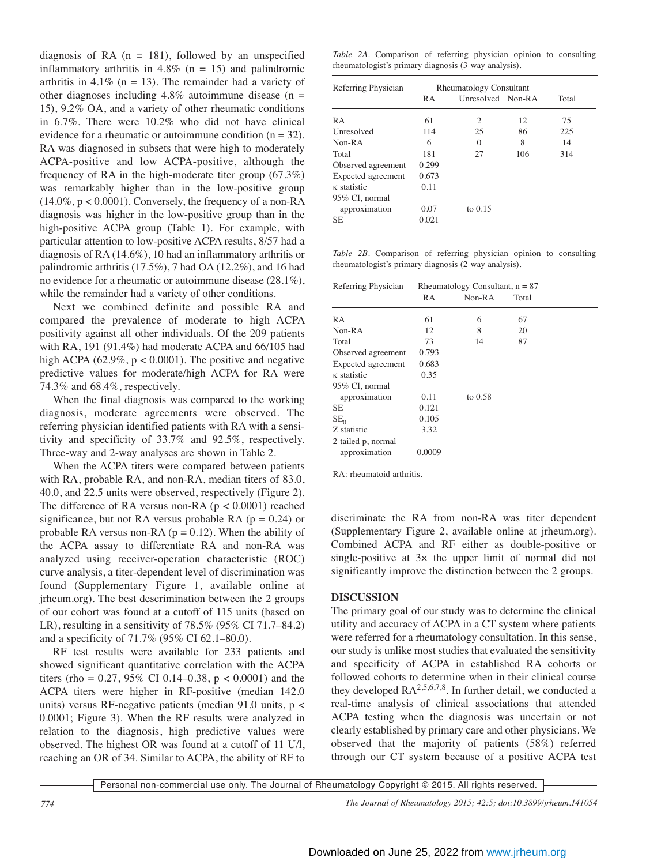diagnosis of RA  $(n = 181)$ , followed by an unspecified inflammatory arthritis in  $4.8\%$  (n = 15) and palindromic arthritis in 4.1% ( $n = 13$ ). The remainder had a variety of other diagnoses including  $4.8\%$  autoimmune disease (n = 15), 9.2% OA, and a variety of other rheumatic conditions in 6.7%. There were 10.2% who did not have clinical evidence for a rheumatic or autoimmune condition (n = 32). RA was diagnosed in subsets that were high to moderately ACPA-positive and low ACPA-positive, although the frequency of RA in the high-moderate titer group (67.3%) was remarkably higher than in the low-positive group  $(14.0\% , p < 0.0001)$ . Conversely, the frequency of a non-RA diagnosis was higher in the low-positive group than in the high-positive ACPA group (Table 1). For example, with particular attention to low-positive ACPA results, 8/57 had a diagnosis of RA (14.6%), 10 had an inflammatory arthritis or palindromic arthritis (17.5%), 7 had OA (12.2%), and 16 had no evidence for a rheumatic or autoimmune disease (28.1%), while the remainder had a variety of other conditions.

Next we combined definite and possible RA and compared the prevalence of moderate to high ACPA positivity against all other individuals. Of the 209 patients with RA, 191 (91.4%) had moderate ACPA and 66/105 had high ACPA (62.9%,  $p < 0.0001$ ). The positive and negative predictive values for moderate/high ACPA for RA were 74.3% and 68.4%, respectively.

When the final diagnosis was compared to the working diagnosis, moderate agreements were observed. The referring physician identified patients with RA with a sensitivity and specificity of 33.7% and 92.5%, respectively. Three-way and 2-way analyses are shown in Table 2.

When the ACPA titers were compared between patients with RA, probable RA, and non-RA, median titers of 83.0, 40.0, and 22.5 units were observed, respectively (Figure 2). The difference of RA versus non-RA ( $p < 0.0001$ ) reached significance, but not RA versus probable RA ( $p = 0.24$ ) or probable RA versus non-RA ( $p = 0.12$ ). When the ability of the ACPA assay to differentiate RA and non-RA was analyzed using receiver-operation characteristic (ROC) curve analysis, a titer-dependent level of discrimination was found (Supplementary Figure 1, available online at jrheum.org). The best descrimination between the 2 groups of our cohort was found at a cutoff of 115 units (based on LR), resulting in a sensitivity of 78.5% (95% CI 71.7–84.2) and a specificity of 71.7% (95% CI 62.1–80.0).

RF test results were available for 233 patients and showed significant quantitative correlation with the ACPA titers (rho =  $0.27$ , 95% CI 0.14–0.38, p < 0.0001) and the ACPA titers were higher in RF-positive (median 142.0 units) versus RF-negative patients (median 91.0 units,  $p \lt$ 0.0001; Figure 3). When the RF results were analyzed in relation to the diagnosis, high predictive values were observed. The highest OR was found at a cutoff of 11 U/l, reaching an OR of 34. Similar to ACPA, the ability of RF to

*Table 2A.* Comparison of referring physician opinion to consulting rheumatologist's primary diagnosis (3-way analysis).

| Referring Physician | <b>Rheumatology Consultant</b> |                   |     |       |
|---------------------|--------------------------------|-------------------|-----|-------|
|                     | R A                            | Unresolved Non-RA |     | Total |
| <b>RA</b>           | 61                             | 2                 | 12  | 75    |
| Unresolved          | 114                            | 25                | 86  | 225   |
| $Non-RA$            | 6                              | $\theta$          | 8   | 14    |
| Total               | 181                            | 27                | 106 | 314   |
| Observed agreement  | 0.299                          |                   |     |       |
| Expected agreement  | 0.673                          |                   |     |       |
| $\kappa$ statistic  | 0.11                           |                   |     |       |
| 95% CI, normal      |                                |                   |     |       |
| approximation       | 0.07                           | to $0.15$         |     |       |
| SE.                 | 0.021                          |                   |     |       |

*Table 2B.* Comparison of referring physician opinion to consulting rheumatologist's primary diagnosis (2-way analysis).

| Referring Physician | Rheumatology Consultant, $n = 87$ |           |       |  |
|---------------------|-----------------------------------|-----------|-------|--|
|                     | R A                               | $Non-RA$  | Total |  |
| <b>RA</b>           | 61                                | 6         | 67    |  |
| $Non-RA$            | 12                                | 8         | 20    |  |
| Total               | 73                                | 14        | 87    |  |
| Observed agreement  | 0.793                             |           |       |  |
| Expected agreement  | 0.683                             |           |       |  |
| $\kappa$ statistic  | 0.35                              |           |       |  |
| 95% CI, normal      |                                   |           |       |  |
| approximation       | 0.11                              | to $0.58$ |       |  |
| SE.                 | 0.121                             |           |       |  |
| $SE_0$              | 0.105                             |           |       |  |
| Z statistic         | 3.32                              |           |       |  |
| 2-tailed p, normal  |                                   |           |       |  |
| approximation       | 0.0009                            |           |       |  |

RA: rheumatoid arthritis.

discriminate the RA from non-RA was titer dependent (Supplementary Figure 2, available online at jrheum.org). Combined ACPA and RF either as double-positive or single-positive at 3× the upper limit of normal did not significantly improve the distinction between the 2 groups.

# **DISCUSSION**

The primary goal of our study was to determine the clinical utility and accuracy of ACPA in a CT system where patients were referred for a rheumatology consultation. In this sense, our study is unlike most studies that evaluated the sensitivity and specificity of ACPA in established RA cohorts or followed cohorts to determine when in their clinical course they developed  $RA^{2,5,6,7,8}$ . In further detail, we conducted a real-time analysis of clinical associations that attended ACPA testing when the diagnosis was uncertain or not clearly established by primary care and other physicians. We observed that the majority of patients (58%) referred through our CT system because of a positive ACPA test

Personal non-commercial use only. The Journal of Rheumatology Copyright © 2015. All rights reserved.

*774 The Journal of Rheumatology 2015; 42:5; doi:10.3899/jrheum.141054*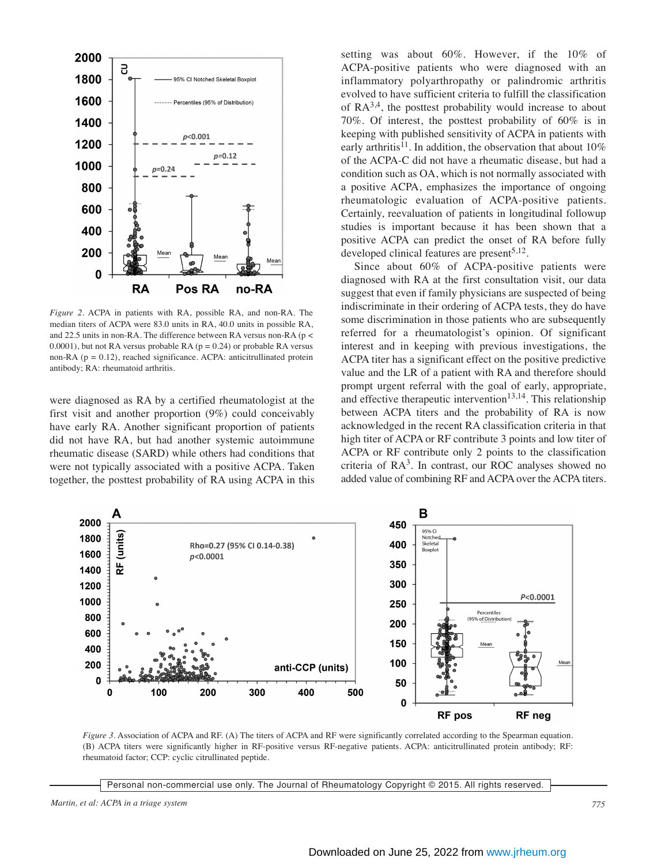

*Figure 2.* ACPA in patients with RA, possible RA, and non-RA. The median titers of ACPA were 83.0 units in RA, 40.0 units in possible RA, and 22.5 units in non-RA. The difference between RA versus non-RA ( $p <$ 0.0001), but not RA versus probable RA ( $p = 0.24$ ) or probable RA versus non-RA ( $p = 0.12$ ), reached significance. ACPA: anticitrullinated protein antibody; RA: rheumatoid arthritis.

were diagnosed as RA by a certified rheumatologist at the first visit and another proportion (9%) could conceivably have early RA. Another significant proportion of patients did not have RA, but had another systemic autoimmune rheumatic disease (SARD) while others had conditions that were not typically associated with a positive ACPA. Taken together, the posttest probability of RA using ACPA in this setting was about 60%. However, if the 10% of ACPA-positive patients who were diagnosed with an inflammatory polyarthropathy or palindromic arthritis evolved to have sufficient criteria to fulfill the classification of  $RA^{3,4}$ , the posttest probability would increase to about 70%. Of interest, the posttest probability of 60% is in keeping with published sensitivity of ACPA in patients with early arthritis<sup>11</sup>. In addition, the observation that about  $10\%$ of the ACPA-C did not have a rheumatic disease, but had a condition such as OA, which is not normally associated with a positive ACPA, emphasizes the importance of ongoing rheumatologic evaluation of ACPA-positive patients. Certainly, reevaluation of patients in longitudinal followup studies is important because it has been shown that a positive ACPA can predict the onset of RA before fully developed clinical features are present $5,12$ .

Since about 60% of ACPA-positive patients were diagnosed with RA at the first consultation visit, our data suggest that even if family physicians are suspected of being indiscriminate in their ordering of ACPA tests, they do have some discrimination in those patients who are subsequently referred for a rheumatologist's opinion. Of significant interest and in keeping with previous investigations, the ACPA titer has a significant effect on the positive predictive value and the LR of a patient with RA and therefore should prompt urgent referral with the goal of early, appropriate, and effective therapeutic intervention<sup>13,14</sup>. This relationship between ACPA titers and the probability of RA is now acknowledged in the recent RA classification criteria in that high titer of ACPA or RF contribute 3 points and low titer of ACPA or RF contribute only 2 points to the classification criteria of  $RA<sup>3</sup>$ . In contrast, our ROC analyses showed no added value of combining RF and ACPA over the ACPA titers.



*Figure 3.* Association of ACPA and RF. (A) The titers of ACPA and RF were significantly correlated according to the Spearman equation. (B) ACPA titers were significantly higher in RF-positive versus RF-negative patients. ACPA: anticitrullinated protein antibody; RF: rheumatoid factor; CCP: cyclic citrullinated peptide.

*Martin, et al: ACPA in a triage system 775*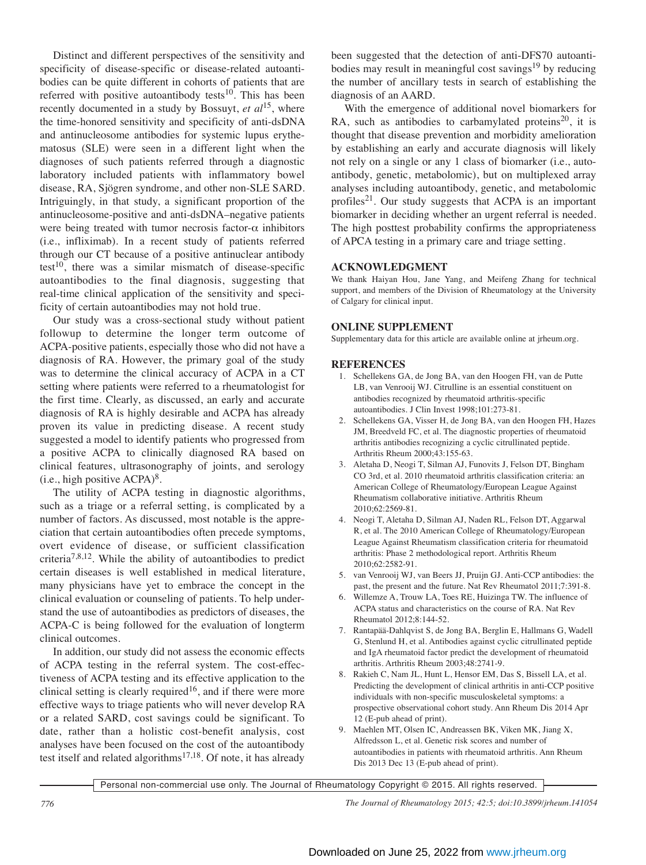Distinct and different perspectives of the sensitivity and specificity of disease-specific or disease-related autoantibodies can be quite different in cohorts of patients that are referred with positive autoantibody tests<sup>10</sup>. This has been recently documented in a study by Bossuyt, *et al*15, where the time-honored sensitivity and specificity of anti-dsDNA and antinucleosome antibodies for systemic lupus erythematosus (SLE) were seen in a different light when the diagnoses of such patients referred through a diagnostic laboratory included patients with inflammatory bowel disease, RA, Sjögren syndrome, and other non-SLE SARD. Intriguingly, in that study, a significant proportion of the antinucleosome-positive and anti-dsDNA–negative patients were being treated with tumor necrosis factor- $\alpha$  inhibitors (i.e., infliximab). In a recent study of patients referred through our CT because of a positive antinuclear antibody test<sup>10</sup>, there was a similar mismatch of disease-specific autoantibodies to the final diagnosis, suggesting that real-time clinical application of the sensitivity and specificity of certain autoantibodies may not hold true.

Our study was a cross-sectional study without patient followup to determine the longer term outcome of ACPA-positive patients, especially those who did not have a diagnosis of RA. However, the primary goal of the study was to determine the clinical accuracy of ACPA in a CT setting where patients were referred to a rheumatologist for the first time. Clearly, as discussed, an early and accurate diagnosis of RA is highly desirable and ACPA has already proven its value in predicting disease. A recent study suggested a model to identify patients who progressed from a positive ACPA to clinically diagnosed RA based on clinical features, ultrasonography of joints, and serology  $(i.e., high positive ACPA)<sup>8</sup>$ .

The utility of ACPA testing in diagnostic algorithms, such as a triage or a referral setting, is complicated by a number of factors. As discussed, most notable is the appreciation that certain autoantibodies often precede symptoms, overt evidence of disease, or sufficient classification criteria<sup>7,8,12</sup>. While the ability of autoantibodies to predict certain diseases is well established in medical literature, many physicians have yet to embrace the concept in the clinical evaluation or counseling of patients. To help understand the use of autoantibodies as predictors of diseases, the ACPA-C is being followed for the evaluation of longterm clinical outcomes.

In addition, our study did not assess the economic effects of ACPA testing in the referral system. The cost-effectiveness of ACPA testing and its effective application to the clinical setting is clearly required<sup>16</sup>, and if there were more effective ways to triage patients who will never develop RA or a related SARD, cost savings could be significant. To date, rather than a holistic cost-benefit analysis, cost analyses have been focused on the cost of the autoantibody test itself and related algorithms<sup>17,18</sup>. Of note, it has already

been suggested that the detection of anti-DFS70 autoantibodies may result in meaningful cost savings<sup>19</sup> by reducing the number of ancillary tests in search of establishing the diagnosis of an AARD.

With the emergence of additional novel biomarkers for RA, such as antibodies to carbamylated proteins<sup>20</sup>, it is thought that disease prevention and morbidity amelioration by establishing an early and accurate diagnosis will likely not rely on a single or any 1 class of biomarker (i.e., autoantibody, genetic, metabolomic), but on multiplexed array analyses including autoantibody, genetic, and metabolomic profiles<sup>21</sup>. Our study suggests that ACPA is an important biomarker in deciding whether an urgent referral is needed. The high posttest probability confirms the appropriateness of APCA testing in a primary care and triage setting.

# **ACKNOWLEDGMENT**

We thank Haiyan Hou, Jane Yang, and Meifeng Zhang for technical support, and members of the Division of Rheumatology at the University of Calgary for clinical input.

#### **ONLINE SUPPLEMENT**

Supplementary data for this article are available online at jrheum.org.

# **REFERENCES**

- 1. Schellekens GA, de Jong BA, van den Hoogen FH, van de Putte LB, van Venrooij WJ. Citrulline is an essential constituent on antibodies recognized by rheumatoid arthritis-specific autoantibodies. J Clin Invest 1998;101:273-81.
- 2. Schellekens GA, Visser H, de Jong BA, van den Hoogen FH, Hazes JM, Breedveld FC, et al. The diagnostic properties of rheumatoid arthritis antibodies recognizing a cyclic citrullinated peptide. Arthritis Rheum 2000;43:155-63.
- 3. Aletaha D, Neogi T, Silman AJ, Funovits J, Felson DT, Bingham CO 3rd, et al. 2010 rheumatoid arthritis classification criteria: an American College of Rheumatology/European League Against Rheumatism collaborative initiative. Arthritis Rheum 2010;62:2569-81.
- 4. Neogi T, Aletaha D, Silman AJ, Naden RL, Felson DT, Aggarwal R, et al. The 2010 American College of Rheumatology/European League Against Rheumatism classification criteria for rheumatoid arthritis: Phase 2 methodological report. Arthritis Rheum 2010;62:2582-91.
- 5. van Venrooij WJ, van Beers JJ, Pruijn GJ. Anti-CCP antibodies: the past, the present and the future. Nat Rev Rheumatol 2011;7:391-8.
- 6. Willemze A, Trouw LA, Toes RE, Huizinga TW. The influence of ACPA status and characteristics on the course of RA. Nat Rev Rheumatol 2012;8:144-52.
- 7. Rantapää-Dahlqvist S, de Jong BA, Berglin E, Hallmans G, Wadell G, Stenlund H, et al. Antibodies against cyclic citrullinated peptide and IgA rheumatoid factor predict the development of rheumatoid arthritis. Arthritis Rheum 2003;48:2741-9.
- 8. Rakieh C, Nam JL, Hunt L, Hensor EM, Das S, Bissell LA, et al. Predicting the development of clinical arthritis in anti-CCP positive individuals with non-specific musculoskeletal symptoms: a prospective observational cohort study. Ann Rheum Dis 2014 Apr 12 (E-pub ahead of print).
- 9. Maehlen MT, Olsen IC, Andreassen BK, Viken MK, Jiang X, Alfredsson L, et al. Genetic risk scores and number of autoantibodies in patients with rheumatoid arthritis. Ann Rheum Dis 2013 Dec 13 (E-pub ahead of print).